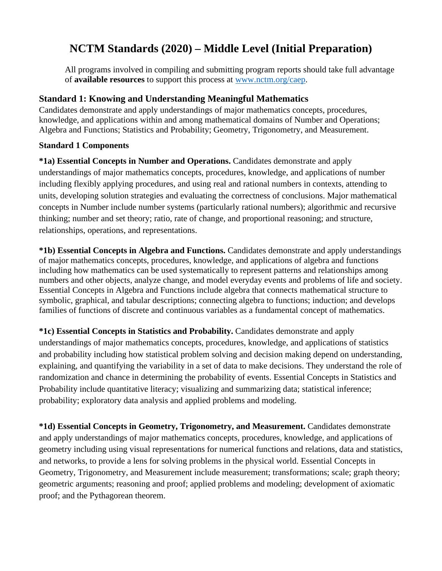# **NCTM Standards (2020) – Middle Level (Initial Preparation)**

All programs involved in compiling and submitting program reports should take full advantage of **available resources** to support this process at [www.nctm.org/caep.](http://www.nctm.org/caep)

# **Standard 1: Knowing and Understanding Meaningful Mathematics**

Candidates demonstrate and apply understandings of major mathematics concepts, procedures, knowledge, and applications within and among mathematical domains of Number and Operations; Algebra and Functions; Statistics and Probability; Geometry, Trigonometry, and Measurement.

# **Standard 1 Components**

**\*1a) Essential Concepts in Number and Operations.** Candidates demonstrate and apply understandings of major mathematics concepts, procedures, knowledge, and applications of number including flexibly applying procedures, and using real and rational numbers in contexts, attending to units, developing solution strategies and evaluating the correctness of conclusions. Major mathematical concepts in Number include number systems (particularly rational numbers); algorithmic and recursive thinking; number and set theory; ratio, rate of change, and proportional reasoning; and structure, relationships, operations, and representations.

**\*1b) Essential Concepts in Algebra and Functions.** Candidates demonstrate and apply understandings of major mathematics concepts, procedures, knowledge, and applications of algebra and functions including how mathematics can be used systematically to represent patterns and relationships among numbers and other objects, analyze change, and model everyday events and problems of life and society. Essential Concepts in Algebra and Functions include algebra that connects mathematical structure to symbolic, graphical, and tabular descriptions; connecting algebra to functions; induction; and develops families of functions of discrete and continuous variables as a fundamental concept of mathematics.

**\*1c) Essential Concepts in Statistics and Probability.** Candidates demonstrate and apply understandings of major mathematics concepts, procedures, knowledge, and applications of statistics and probability including how statistical problem solving and decision making depend on understanding, explaining, and quantifying the variability in a set of data to make decisions. They understand the role of randomization and chance in determining the probability of events. Essential Concepts in Statistics and Probability include quantitative literacy; visualizing and summarizing data; statistical inference; probability; exploratory data analysis and applied problems and modeling.

**\*1d) Essential Concepts in Geometry, Trigonometry, and Measurement.** Candidates demonstrate and apply understandings of major mathematics concepts, procedures, knowledge, and applications of geometry including using visual representations for numerical functions and relations, data and statistics, and networks, to provide a lens for solving problems in the physical world. Essential Concepts in Geometry, Trigonometry, and Measurement include measurement; transformations; scale; graph theory; geometric arguments; reasoning and proof; applied problems and modeling; development of axiomatic proof; and the Pythagorean theorem.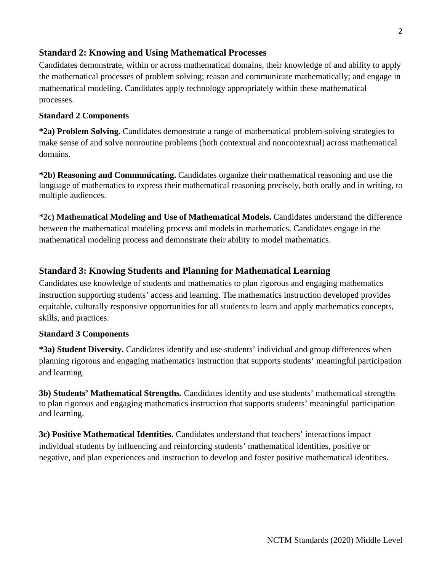# **Standard 2: Knowing and Using Mathematical Processes**

Candidates demonstrate, within or across mathematical domains, their knowledge of and ability to apply the mathematical processes of problem solving; reason and communicate mathematically; and engage in mathematical modeling. Candidates apply technology appropriately within these mathematical processes.

### **Standard 2 Components**

**\*2a) Problem Solving.** Candidates demonstrate a range of mathematical problem-solving strategies to make sense of and solve nonroutine problems (both contextual and noncontextual) across mathematical domains.

**\*2b) Reasoning and Communicating.** Candidates organize their mathematical reasoning and use the language of mathematics to express their mathematical reasoning precisely, both orally and in writing, to multiple audiences.

**\*2c) Mathematical Modeling and Use of Mathematical Models.** Candidates understand the difference between the mathematical modeling process and models in mathematics. Candidates engage in the mathematical modeling process and demonstrate their ability to model mathematics.

## **Standard 3: Knowing Students and Planning for Mathematical Learning**

Candidates use knowledge of students and mathematics to plan rigorous and engaging mathematics instruction supporting students' access and learning. The mathematics instruction developed provides equitable, culturally responsive opportunities for all students to learn and apply mathematics concepts, skills, and practices.

#### **Standard 3 Components**

**\*3a) Student Diversity.** Candidates identify and use students' individual and group differences when planning rigorous and engaging mathematics instruction that supports students' meaningful participation and learning.

**3b) Students' Mathematical Strengths.** Candidates identify and use students' mathematical strengths to plan rigorous and engaging mathematics instruction that supports students' meaningful participation and learning.

**3c) Positive Mathematical Identities.** Candidates understand that teachers' interactions impact individual students by influencing and reinforcing students' mathematical identities, positive or negative, and plan experiences and instruction to develop and foster positive mathematical identities.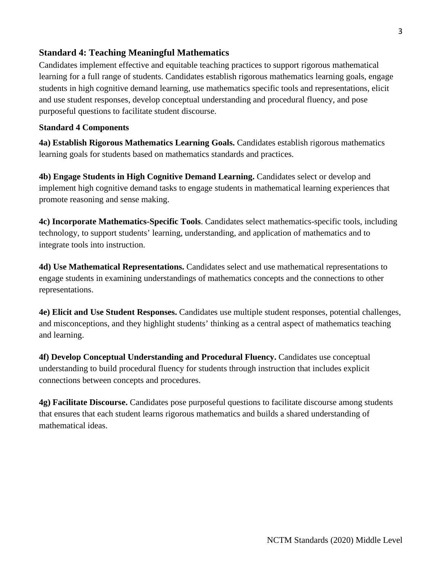# **Standard 4: Teaching Meaningful Mathematics**

Candidates implement effective and equitable teaching practices to support rigorous mathematical learning for a full range of students. Candidates establish rigorous mathematics learning goals, engage students in high cognitive demand learning, use mathematics specific tools and representations, elicit and use student responses, develop conceptual understanding and procedural fluency, and pose purposeful questions to facilitate student discourse.

### **Standard 4 Components**

**4a) Establish Rigorous Mathematics Learning Goals.** Candidates establish rigorous mathematics learning goals for students based on mathematics standards and practices.

**4b) Engage Students in High Cognitive Demand Learning.** Candidates select or develop and implement high cognitive demand tasks to engage students in mathematical learning experiences that promote reasoning and sense making.

**4c) Incorporate Mathematics-Specific Tools**. Candidates select mathematics-specific tools, including technology, to support students' learning, understanding, and application of mathematics and to integrate tools into instruction.

**4d) Use Mathematical Representations.** Candidates select and use mathematical representations to engage students in examining understandings of mathematics concepts and the connections to other representations.

**4e) Elicit and Use Student Responses.** Candidates use multiple student responses, potential challenges, and misconceptions, and they highlight students' thinking as a central aspect of mathematics teaching and learning.

**4f) Develop Conceptual Understanding and Procedural Fluency.** Candidates use conceptual understanding to build procedural fluency for students through instruction that includes explicit connections between concepts and procedures.

**4g) Facilitate Discourse.** Candidates pose purposeful questions to facilitate discourse among students that ensures that each student learns rigorous mathematics and builds a shared understanding of mathematical ideas.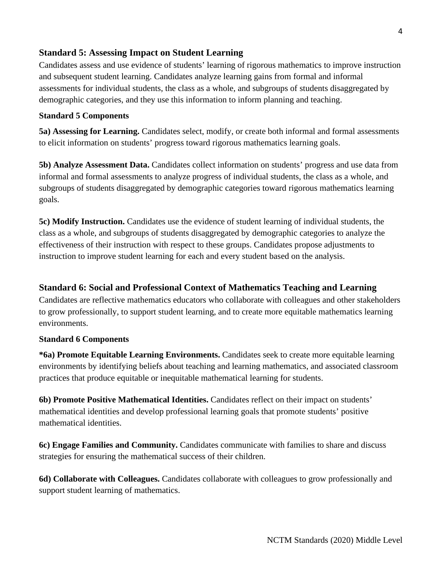# **Standard 5: Assessing Impact on Student Learning**

Candidates assess and use evidence of students' learning of rigorous mathematics to improve instruction and subsequent student learning. Candidates analyze learning gains from formal and informal assessments for individual students, the class as a whole, and subgroups of students disaggregated by demographic categories, and they use this information to inform planning and teaching.

### **Standard 5 Components**

**5a) Assessing for Learning.** Candidates select, modify, or create both informal and formal assessments to elicit information on students' progress toward rigorous mathematics learning goals.

**5b) Analyze Assessment Data.** Candidates collect information on students' progress and use data from informal and formal assessments to analyze progress of individual students, the class as a whole, and subgroups of students disaggregated by demographic categories toward rigorous mathematics learning goals.

**5c) Modify Instruction.** Candidates use the evidence of student learning of individual students, the class as a whole, and subgroups of students disaggregated by demographic categories to analyze the effectiveness of their instruction with respect to these groups. Candidates propose adjustments to instruction to improve student learning for each and every student based on the analysis.

# **Standard 6: Social and Professional Context of Mathematics Teaching and Learning**

Candidates are reflective mathematics educators who collaborate with colleagues and other stakeholders to grow professionally, to support student learning, and to create more equitable mathematics learning environments.

#### **Standard 6 Components**

**\*6a) Promote Equitable Learning Environments.** Candidates seek to create more equitable learning environments by identifying beliefs about teaching and learning mathematics, and associated classroom practices that produce equitable or inequitable mathematical learning for students.

**6b) Promote Positive Mathematical Identities.** Candidates reflect on their impact on students' mathematical identities and develop professional learning goals that promote students' positive mathematical identities.

**6c) Engage Families and Community.** Candidates communicate with families to share and discuss strategies for ensuring the mathematical success of their children.

**6d) Collaborate with Colleagues.** Candidates collaborate with colleagues to grow professionally and support student learning of mathematics.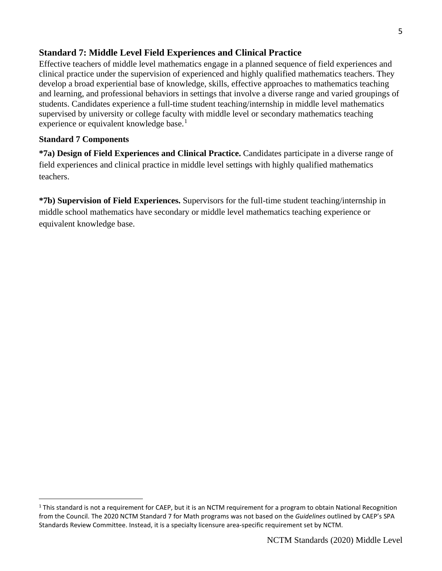# **Standard 7: Middle Level Field Experiences and Clinical Practice**

Effective teachers of middle level mathematics engage in a planned sequence of field experiences and clinical practice under the supervision of experienced and highly qualified mathematics teachers. They develop a broad experiential base of knowledge, skills, effective approaches to mathematics teaching and learning, and professional behaviors in settings that involve a diverse range and varied groupings of students. Candidates experience a full-time student teaching/internship in middle level mathematics supervised by university or college faculty with middle level or secondary mathematics teaching experience or equivalent knowledge base.<sup>[1](#page-4-0)</sup>

# **Standard 7 Components**

**\*7a) Design of Field Experiences and Clinical Practice.** Candidates participate in a diverse range of field experiences and clinical practice in middle level settings with highly qualified mathematics teachers.

**\*7b) Supervision of Field Experiences.** Supervisors for the full-time student teaching/internship in middle school mathematics have secondary or middle level mathematics teaching experience or equivalent knowledge base.

<span id="page-4-0"></span> $1$  This standard is not a requirement for CAEP, but it is an NCTM requirement for a program to obtain National Recognition from the Council. The 2020 NCTM Standard 7 for Math programs was not based on the *Guidelines* outlined by CAEP's SPA Standards Review Committee. Instead, it is a specialty licensure area-specific requirement set by NCTM.